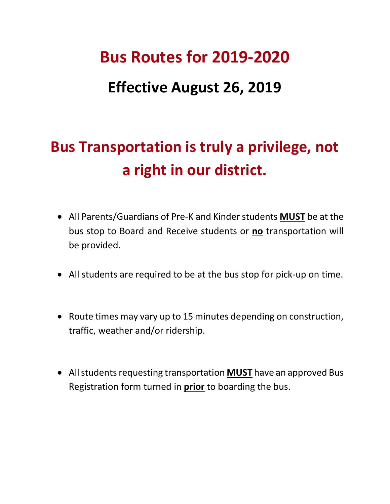# **Bus Routes for 2019-2020**

### **Effective August 26, 2019**

## **Bus Transportation is truly a privilege, not a right in our district.**

- bus stop to Board and Receive students or **no** transportation will • All Parents/Guardians of Pre-K and Kinder students **MUST** be at the be provided.
- All students are required to be at the bus stop for pick-up on time.
- Route times may vary up to 15 minutes depending on construction, traffic, weather and/or ridership.
- Registration form turned in **prior** to boarding the bus. • All students requesting transportation **MUST** have an approved Bus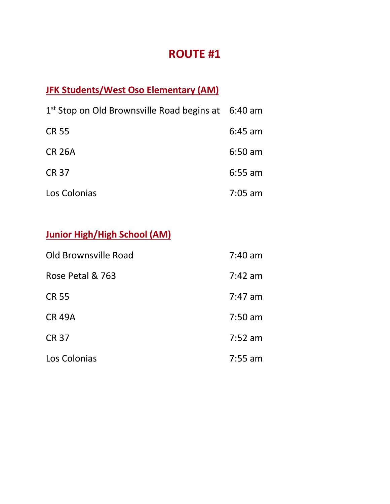#### **JFK Students/West Oso Elementary (AM)**

| $1st$ Stop on Old Brownsville Road begins at 6:40 am |           |
|------------------------------------------------------|-----------|
| <b>CR 55</b>                                         | $6:45$ am |
| <b>CR 26A</b>                                        | $6:50$ am |
| <b>CR 37</b>                                         | $6:55$ am |
| Los Colonias                                         | $7:05$ am |

#### **Junior High/High School (AM)**

| Old Brownsville Road | $7:40$ am |
|----------------------|-----------|
| Rose Petal & 763     | $7:42$ am |
| <b>CR 55</b>         | $7:47$ am |
| <b>CR 49A</b>        | $7:50$ am |
| <b>CR 37</b>         | $7:52$ am |
| Los Colonias         | $7:55$ am |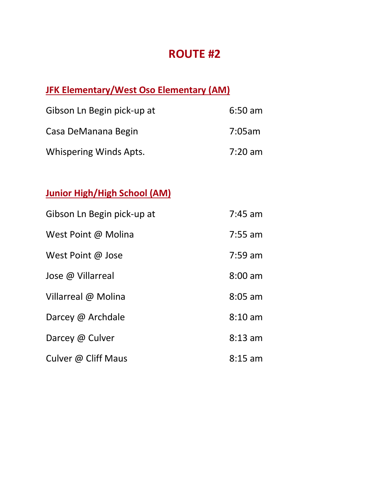#### **JFK Elementary/West Oso Elementary (AM)**

| Gibson Ln Begin pick-up at    | $6:50$ am |  |
|-------------------------------|-----------|--|
| Casa DeManana Begin           | 7:05am    |  |
| <b>Whispering Winds Apts.</b> | $7:20$ am |  |

#### **Junior High/High School (AM)**

| Gibson Ln Begin pick-up at | $7:45$ am |
|----------------------------|-----------|
| West Point @ Molina        | $7:55$ am |
| West Point @ Jose          | $7:59$ am |
| Jose @ Villarreal          | $8:00$ am |
| Villarreal @ Molina        | $8:05$ am |
| Darcey @ Archdale          | $8:10$ am |
| Darcey @ Culver            | $8:13$ am |
| Culver @ Cliff Maus        | $8:15$ am |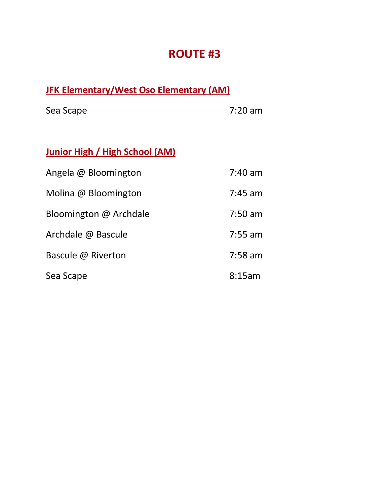#### **JFK Elementary/West Oso Elementary (AM)**

Sea Scape 7:20 am

## **Junior High / High School (AM)**

| Angela @ Bloomington   | $7:40$ am |
|------------------------|-----------|
| Molina @ Bloomington   | $7:45$ am |
| Bloomington @ Archdale | $7:50$ am |
| Archdale @ Bascule     | $7:55$ am |
| Bascule @ Riverton     | $7:58$ am |
| Sea Scape              | 8:15am    |